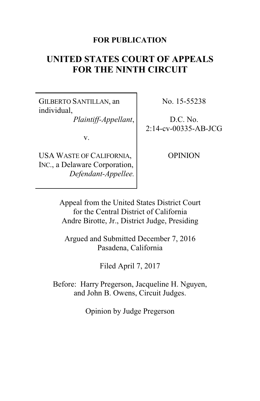#### **FOR PUBLICATION**

# **UNITED STATES COURT OF APPEALS FOR THE NINTH CIRCUIT**

GILBERTO SANTILLAN, an individual,

*Plaintiff-Appellant*,

v.

USA WASTE OF CALIFORNIA, INC., a Delaware Corporation, *Defendant-Appellee.* No. 15-55238

D.C. No. 2:14-cv-00335-AB-JCG

OPINION

Appeal from the United States District Court for the Central District of California Andre Birotte, Jr., District Judge, Presiding

Argued and Submitted December 7, 2016 Pasadena, California

Filed April 7, 2017

Before: Harry Pregerson, Jacqueline H. Nguyen, and John B. Owens, Circuit Judges.

Opinion by Judge Pregerson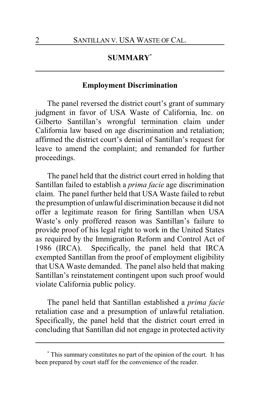### **SUMMARY\***

#### **Employment Discrimination**

The panel reversed the district court's grant of summary judgment in favor of USA Waste of California, Inc. on Gilberto Santillan's wrongful termination claim under California law based on age discrimination and retaliation; affirmed the district court's denial of Santillan's request for leave to amend the complaint; and remanded for further proceedings.

The panel held that the district court erred in holding that Santillan failed to establish a *prima facie* age discrimination claim. The panel further held that USA Waste failed to rebut the presumption of unlawful discrimination because it did not offer a legitimate reason for firing Santillan when USA Waste's only proffered reason was Santillan's failure to provide proof of his legal right to work in the United States as required by the Immigration Reform and Control Act of 1986 (IRCA). Specifically, the panel held that IRCA exempted Santillan from the proof of employment eligibility that USA Waste demanded. The panel also held that making Santillan's reinstatement contingent upon such proof would violate California public policy.

The panel held that Santillan established a *prima facie* retaliation case and a presumption of unlawful retaliation. Specifically, the panel held that the district court erred in concluding that Santillan did not engage in protected activity

**<sup>\*</sup>** This summary constitutes no part of the opinion of the court. It has been prepared by court staff for the convenience of the reader.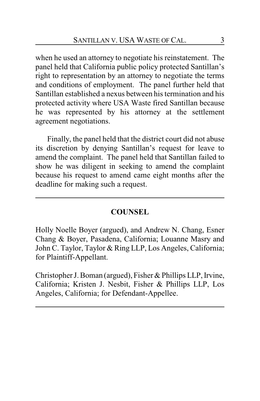when he used an attorney to negotiate his reinstatement. The panel held that California public policy protected Santillan's right to representation by an attorney to negotiate the terms and conditions of employment. The panel further held that Santillan established a nexus between his termination and his protected activity where USA Waste fired Santillan because he was represented by his attorney at the settlement agreement negotiations.

Finally, the panel held that the district court did not abuse its discretion by denying Santillan's request for leave to amend the complaint. The panel held that Santillan failed to show he was diligent in seeking to amend the complaint because his request to amend came eight months after the deadline for making such a request.

#### **COUNSEL**

Holly Noelle Boyer (argued), and Andrew N. Chang, Esner Chang & Boyer, Pasadena, California; Louanne Masry and John C. Taylor, Taylor & Ring LLP, Los Angeles, California; for Plaintiff-Appellant.

Christopher J. Boman (argued), Fisher & Phillips LLP, Irvine, California; Kristen J. Nesbit, Fisher & Phillips LLP, Los Angeles, California; for Defendant-Appellee.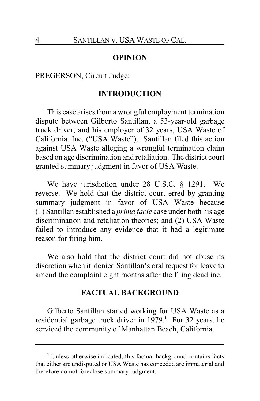#### **OPINION**

PREGERSON, Circuit Judge:

#### **INTRODUCTION**

This case arises from a wrongful employment termination dispute between Gilberto Santillan, a 53-year-old garbage truck driver, and his employer of 32 years, USA Waste of California, Inc. ("USA Waste"). Santillan filed this action against USA Waste alleging a wrongful termination claim based on age discrimination and retaliation. The district court granted summary judgment in favor of USA Waste.

We have jurisdiction under 28 U.S.C. § 1291. We reverse. We hold that the district court erred by granting summary judgment in favor of USA Waste because (1) Santillan established a *prima facie* case under both his age discrimination and retaliation theories; and (2) USA Waste failed to introduce any evidence that it had a legitimate reason for firing him.

We also hold that the district court did not abuse its discretion when it denied Santillan's oral request for leave to amend the complaint eight months after the filing deadline.

#### **FACTUAL BACKGROUND**

Gilberto Santillan started working for USA Waste as a residential garbage truck driver in 1979.**<sup>1</sup>** For 32 years, he serviced the community of Manhattan Beach, California.

**<sup>1</sup>** Unless otherwise indicated, this factual background contains facts that either are undisputed or USA Waste has conceded are immaterial and therefore do not foreclose summary judgment.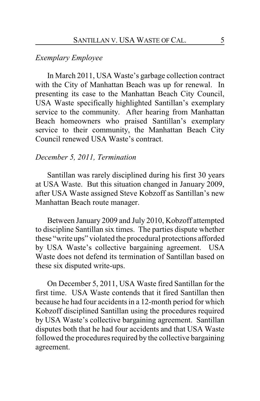#### *Exemplary Employee*

In March 2011, USA Waste's garbage collection contract with the City of Manhattan Beach was up for renewal. In presenting its case to the Manhattan Beach City Council, USA Waste specifically highlighted Santillan's exemplary service to the community. After hearing from Manhattan Beach homeowners who praised Santillan's exemplary service to their community, the Manhattan Beach City Council renewed USA Waste's contract.

#### *December 5, 2011, Termination*

Santillan was rarely disciplined during his first 30 years at USA Waste. But this situation changed in January 2009, after USA Waste assigned Steve Kobzoff as Santillan's new Manhattan Beach route manager.

Between January 2009 and July 2010, Kobzoff attempted to discipline Santillan six times. The parties dispute whether these "write ups" violated the procedural protections afforded by USA Waste's collective bargaining agreement. USA Waste does not defend its termination of Santillan based on these six disputed write-ups.

On December 5, 2011, USA Waste fired Santillan for the first time. USA Waste contends that it fired Santillan then because he had four accidents in a 12-month period for which Kobzoff disciplined Santillan using the procedures required by USA Waste's collective bargaining agreement. Santillan disputes both that he had four accidents and that USA Waste followed the procedures required by the collective bargaining agreement.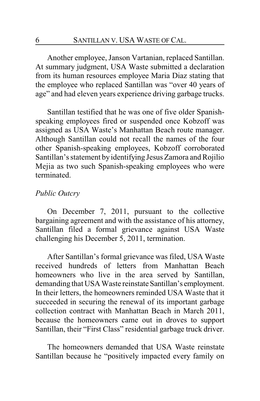Another employee, Janson Vartanian, replaced Santillan. At summary judgment, USA Waste submitted a declaration from its human resources employee Maria Diaz stating that the employee who replaced Santillan was "over 40 years of age" and had eleven years experience driving garbage trucks.

Santillan testified that he was one of five older Spanishspeaking employees fired or suspended once Kobzoff was assigned as USA Waste's Manhattan Beach route manager. Although Santillan could not recall the names of the four other Spanish-speaking employees, Kobzoff corroborated Santillan's statement by identifying Jesus Zamora and Rojilio Mejia as two such Spanish-speaking employees who were terminated.

#### *Public Outcry*

On December 7, 2011, pursuant to the collective bargaining agreement and with the assistance of his attorney, Santillan filed a formal grievance against USA Waste challenging his December 5, 2011, termination.

After Santillan's formal grievance was filed, USA Waste received hundreds of letters from Manhattan Beach homeowners who live in the area served by Santillan, demanding that USA Waste reinstate Santillan's employment. In their letters, the homeowners reminded USA Waste that it succeeded in securing the renewal of its important garbage collection contract with Manhattan Beach in March 2011, because the homeowners came out in droves to support Santillan, their "First Class" residential garbage truck driver.

The homeowners demanded that USA Waste reinstate Santillan because he "positively impacted every family on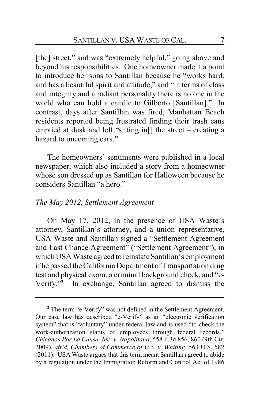[the] street," and was "extremely helpful," going above and beyond his responsibilities. One homeowner made it a point to introduce her sons to Santillan because he "works hard, and has a beautiful spirit and attitude," and "in terms of class and integrity and a radiant personality there is no one in the world who can hold a candle to Gilberto [Santillan]." In contrast, days after Santillan was fired, Manhattan Beach residents reported being frustrated finding their trash cans emptied at dusk and left "sitting in[] the street – creating a hazard to oncoming cars."

The homeowners' sentiments were published in a local newspaper, which also included a story from a homeowner whose son dressed up as Santillan for Halloween because he considers Santillan "a hero."

#### *The May 2012, Settlement Agreement*

On May 17, 2012, in the presence of USA Waste's attorney, Santillan's attorney, and a union representative, USA Waste and Santillan signed a "Settlement Agreement and Last Chance Agreement" ("Settlement Agreement"), in which USA Waste agreed to reinstate Santillan's employment if he passed the California Department of Transportation drug test and physical exam, a criminal background check, and "e-Verify." **2** In exchange, Santillan agreed to dismiss the

<sup>&</sup>lt;sup>2</sup> The term "e-Verify" was not defined in the Settlement Agreement. Our case law has described "e-Verify" as an "electronic verification system" that is "voluntary" under federal law and is used "to check the work-authorization status of employees through federal records." *Chicanos Por La Causa, Inc. v. Napolitano*, 558 F.3d 856, 860 (9th Cir. 2009), *aff'd, Chambers of Commerce of U.S. v. Whiting*, 563 U.S. 582 (2011). USA Waste argues that this term meant Santillan agreed to abide by a regulation under the Immigration Reform and Control Act of 1986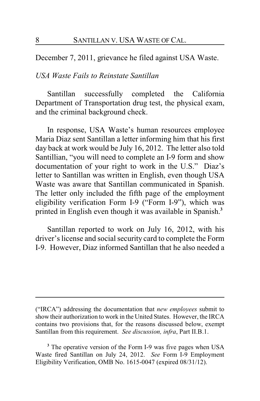December 7, 2011, grievance he filed against USA Waste.

#### *USA Waste Fails to Reinstate Santillan*

Santillan successfully completed the California Department of Transportation drug test, the physical exam, and the criminal background check.

In response, USA Waste's human resources employee Maria Diaz sent Santillan a letter informing him that his first day back at work would be July 16, 2012. The letter also told Santillian, "you will need to complete an I-9 form and show documentation of your right to work in the U.S." Diaz's letter to Santillan was written in English, even though USA Waste was aware that Santillan communicated in Spanish. The letter only included the fifth page of the employment eligibility verification Form I-9 ("Form I-9"), which was printed in English even though it was available in Spanish.**<sup>3</sup>**

Santillan reported to work on July 16, 2012, with his driver's license and social security card to complete the Form I-9. However, Diaz informed Santillan that he also needed a

<sup>(&</sup>quot;IRCA") addressing the documentation that *new employees* submit to show their authorization to work in the United States. However, the IRCA contains two provisions that, for the reasons discussed below, exempt Santillan from this requirement. *See discussion, infra*, Part II.B.1.

**<sup>3</sup>** The operative version of the Form I-9 was five pages when USA Waste fired Santillan on July 24, 2012. *See* Form I-9 Employment Eligibility Verification, OMB No. 1615-0047 (expired 08/31/12).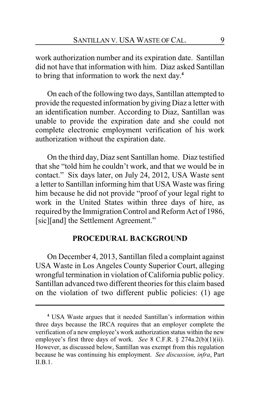work authorization number and its expiration date. Santillan did not have that information with him. Diaz asked Santillan to bring that information to work the next day. **4**

On each of the following two days, Santillan attempted to provide the requested information by giving Diaz a letter with an identification number. According to Diaz, Santillan was unable to provide the expiration date and she could not complete electronic employment verification of his work authorization without the expiration date.

On the third day, Diaz sent Santillan home. Diaz testified that she "told him he couldn't work, and that we would be in contact." Six days later, on July 24, 2012, USA Waste sent a letter to Santillan informing him that USA Waste was firing him because he did not provide "proof of your legal right to work in the United States within three days of hire, as required by the Immigration Control and Reform Act of 1986, [sic][and] the Settlement Agreement."

#### **PROCEDURAL BACKGROUND**

On December 4, 2013, Santillan filed a complaint against USA Waste in Los Angeles County Superior Court, alleging wrongful termination in violation of California public policy. Santillan advanced two different theories for this claim based on the violation of two different public policies: (1) age

**<sup>4</sup>** USA Waste argues that it needed Santillan's information within three days because the IRCA requires that an employer complete the verification of a new employee's work authorization status within the new employee's first three days of work. *See* 8 C.F.R. § 274a.2(b)(1)(ii). However, as discussed below, Santillan was exempt from this regulation because he was continuing his employment. *See discussion, infra*, Part II.B.1.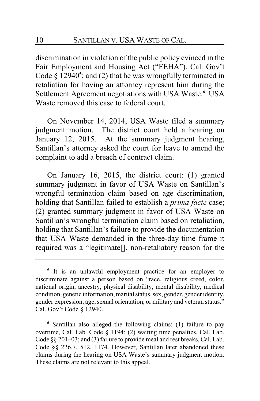discrimination in violation of the public policy evinced in the Fair Employment and Housing Act ("FEHA"), Cal. Gov't Code § 12940<sup>5</sup>; and (2) that he was wrongfully terminated in retaliation for having an attorney represent him during the Settlement Agreement negotiations with USA Waste.**<sup>6</sup>** USA Waste removed this case to federal court.

On November 14, 2014, USA Waste filed a summary judgment motion. The district court held a hearing on January 12, 2015. At the summary judgment hearing, Santillan's attorney asked the court for leave to amend the complaint to add a breach of contract claim.

On January 16, 2015, the district court: (1) granted summary judgment in favor of USA Waste on Santillan's wrongful termination claim based on age discrimination, holding that Santillan failed to establish a *prima facie* case; (2) granted summary judgment in favor of USA Waste on Santillan's wrongful termination claim based on retaliation, holding that Santillan's failure to provide the documentation that USA Waste demanded in the three-day time frame it required was a "legitimate[], non-retaliatory reason for the

<sup>&</sup>lt;sup>5</sup> It is an unlawful employment practice for an employer to discriminate against a person based on "race, religious creed, color, national origin, ancestry, physical disability, mental disability, medical condition, genetic information, marital status, sex, gender, gender identity, gender expression, age, sexual orientation, or military and veteran status." Cal. Gov't Code § 12940.

**<sup>6</sup>** Santillan also alleged the following claims: (1) failure to pay overtime, Cal. Lab. Code § 1194; (2) waiting time penalties, Cal. Lab. Code §§ 201–03; and (3) failure to provide meal and rest breaks, Cal. Lab. Code §§ 226.7, 512, 1174. However, Santillan later abandoned these claims during the hearing on USA Waste's summary judgment motion. These claims are not relevant to this appeal.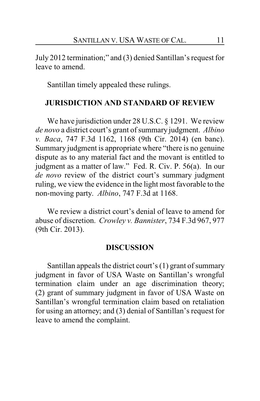July 2012 termination;" and (3) denied Santillan's request for leave to amend.

Santillan timely appealed these rulings.

#### **JURISDICTION AND STANDARD OF REVIEW**

We have jurisdiction under 28 U.S.C. § 1291. We review *de novo* a district court's grant of summary judgment. *Albino v. Baca*, 747 F.3d 1162, 1168 (9th Cir. 2014) (en banc). Summary judgment is appropriate where "there is no genuine dispute as to any material fact and the movant is entitled to judgment as a matter of law." Fed. R. Civ. P. 56(a). In our *de novo* review of the district court's summary judgment ruling, we view the evidence in the light most favorable to the non-moving party. *Albino*, 747 F.3d at 1168.

We review a district court's denial of leave to amend for abuse of discretion. *Crowley v. Bannister*, 734 F.3d 967, 977 (9th Cir. 2013).

#### **DISCUSSION**

Santillan appeals the district court's (1) grant of summary judgment in favor of USA Waste on Santillan's wrongful termination claim under an age discrimination theory; (2) grant of summary judgment in favor of USA Waste on Santillan's wrongful termination claim based on retaliation for using an attorney; and (3) denial of Santillan's request for leave to amend the complaint.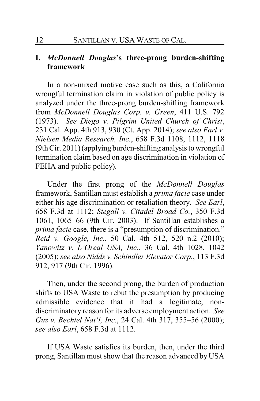### **I.** *McDonnell Douglas***'s three-prong burden-shifting framework**

In a non-mixed motive case such as this, a California wrongful termination claim in violation of public policy is analyzed under the three-prong burden-shifting framework from *McDonnell Douglas Corp. v. Green*, 411 U.S. 792 (1973). *See Diego v. Pilgrim United Church of Christ*, 231 Cal. App. 4th 913, 930 (Ct. App. 2014); *see also Earl v. Nielsen Media Research, Inc.*, 658 F.3d 1108, 1112, 1118 (9th Cir. 2011)(applying burden-shifting analysis to wrongful termination claim based on age discrimination in violation of FEHA and public policy).

Under the first prong of the *McDonnell Douglas* framework, Santillan must establish a *prima facie* case under either his age discrimination or retaliation theory. *See Earl*, 658 F.3d at 1112; *Stegall v. Citadel Broad Co.*, 350 F.3d 1061, 1065–66 (9th Cir. 2003). If Santillan establishes a *prima facie* case, there is a "presumption of discrimination." *Reid v. Google, Inc.*, 50 Cal. 4th 512, 520 n.2 (2010); *Yanowitz v. L'Oreal USA, Inc.*, 36 Cal. 4th 1028, 1042 (2005); *see also Nidds v. Schindler Elevator Corp.*, 113 F.3d 912, 917 (9th Cir. 1996).

Then, under the second prong, the burden of production shifts to USA Waste to rebut the presumption by producing admissible evidence that it had a legitimate, nondiscriminatory reason for its adverse employment action. *See Guz v. Bechtel Nat'l, Inc.*, 24 Cal. 4th 317, 355–56 (2000); *see also Earl*, 658 F.3d at 1112.

If USA Waste satisfies its burden, then, under the third prong, Santillan must show that the reason advanced by USA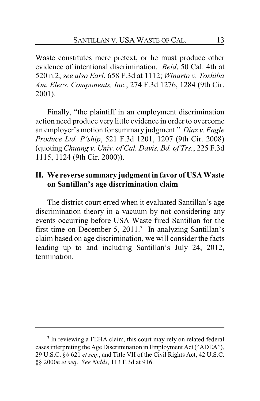Waste constitutes mere pretext, or he must produce other evidence of intentional discrimination. *Reid*, 50 Cal. 4th at 520 n.2; *see also Earl*, 658 F.3d at 1112; *Winarto v. Toshiba Am. Elecs. Components, Inc.*, 274 F.3d 1276, 1284 (9th Cir. 2001).

Finally, "the plaintiff in an employment discrimination action need produce very little evidence in order to overcome an employer's motion for summary judgment." *Diaz v. Eagle Produce Ltd. P'ship*, 521 F.3d 1201, 1207 (9th Cir. 2008) (quoting *Chuang v. Univ. of Cal. Davis, Bd. of Trs.*, 225 F.3d 1115, 1124 (9th Cir. 2000)).

### **II. We reverse summary judgment in favor of USA Waste on Santillan's age discrimination claim**

The district court erred when it evaluated Santillan's age discrimination theory in a vacuum by not considering any events occurring before USA Waste fired Santillan for the first time on December 5, 2011.**<sup>7</sup>** In analyzing Santillan's claim based on age discrimination, we will consider the facts leading up to and including Santillan's July 24, 2012, termination.

**<sup>7</sup>** In reviewing a FEHA claim, this court may rely on related federal cases interpreting the Age Discrimination in Employment Act ("ADEA"), 29 U.S.C. §§ 621 *et seq*., and Title VII of the Civil Rights Act, 42 U.S.C. §§ 2000e *et seq*. *See Nidds*, 113 F.3d at 916.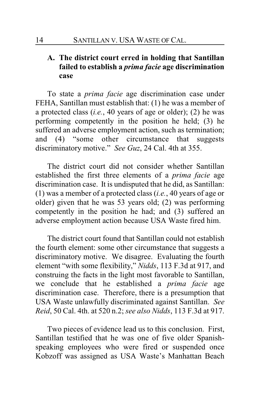### **A. The district court erred in holding that Santillan failed to establish a** *prima facie* **age discrimination case**

To state a *prima facie* age discrimination case under FEHA, Santillan must establish that: (1) he was a member of a protected class (*i.e.*, 40 years of age or older); (2) he was performing competently in the position he held; (3) he suffered an adverse employment action, such as termination; and (4) "some other circumstance that suggests discriminatory motive." *See Guz*, 24 Cal. 4th at 355.

The district court did not consider whether Santillan established the first three elements of a *prima facie* age discrimination case. It is undisputed that he did, as Santillan: (1) was a member of a protected class (*i.e.*, 40 years of age or older) given that he was 53 years old; (2) was performing competently in the position he had; and (3) suffered an adverse employment action because USA Waste fired him.

The district court found that Santillan could not establish the fourth element: some other circumstance that suggests a discriminatory motive. We disagree. Evaluating the fourth element "with some flexibility," *Nidds*, 113 F.3d at 917, and construing the facts in the light most favorable to Santillan, we conclude that he established a *prima facie* age discrimination case. Therefore, there is a presumption that USA Waste unlawfully discriminated against Santillan. *See Reid*, 50 Cal. 4th. at 520 n.2; *see also Nidds*, 113 F.3d at 917.

Two pieces of evidence lead us to this conclusion. First, Santillan testified that he was one of five older Spanishspeaking employees who were fired or suspended once Kobzoff was assigned as USA Waste's Manhattan Beach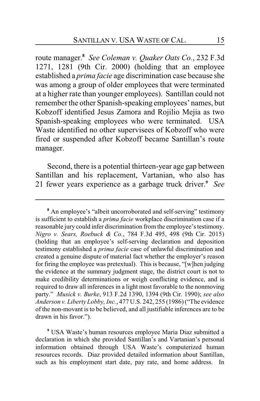route manager.**<sup>8</sup>**  *See Coleman v. Quaker Oats Co.*, 232 F.3d 1271, 1281 (9th Cir. 2000) (holding that an employee established a *prima facie* age discrimination case because she was among a group of older employees that were terminated at a higher rate than younger employees). Santillan could not remember the other Spanish-speaking employees' names, but Kobzoff identified Jesus Zamora and Rojilio Mejia as two Spanish-speaking employees who were terminated. USA Waste identified no other supervisees of Kobzoff who were fired or suspended after Kobzoff became Santillan's route manager.

Second, there is a potential thirteen-year age gap between Santillan and his replacement, Vartanian, who also has 21 fewer years experience as a garbage truck driver.**<sup>9</sup>** *See*

**<sup>9</sup>** USA Waste's human resources employee Maria Diaz submitted a declaration in which she provided Santillan's and Vartanian's personal information obtained through USA Waste's computerized human resources records. Diaz provided detailed information about Santillan, such as his employment start date, pay rate, and home address. In

**<sup>8</sup>** An employee's "albeit uncorroborated and self-serving" testimony is sufficient to establish a *prima facie* workplace discrimination case if a reasonable jury could infer discrimination fromthe employee's testimony. *Nigro v. Sears, Roebuck & Co.*, 784 F.3d 495, 498 (9th Cir. 2015) (holding that an employee's self-serving declaration and deposition testimony established a *prima facie* case of unlawful discrimination and created a genuine dispute of material fact whether the employer's reason for firing the employee was pretextual). This is because, "[w]hen judging the evidence at the summary judgment stage, the district court is not to make credibility determinations or weigh conflicting evidence, and is required to draw all inferences in a light most favorable to the nonmoving party." *Musick v. Burke*, 913 F.2d 1390, 1394 (9th Cir. 1990); *see also Anderson v. Liberty Lobby, Inc.*, 477 U.S. 242, 255 (1986) ("The evidence of the non-movant is to be believed, and all justifiable inferences are to be drawn in his favor.").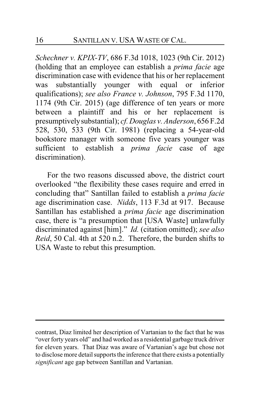*Schechner v. KPIX-TV*, 686 F.3d 1018, 1023 (9th Cir. 2012) (holding that an employee can establish a *prima facie* age discrimination case with evidence that his or her replacement was substantially younger with equal or inferior qualifications); *see also France v. Johnson*, 795 F.3d 1170, 1174 (9th Cir. 2015) (age difference of ten years or more between a plaintiff and his or her replacement is presumptivelysubstantial); *cf. Douglas v. Anderson*, 656 F.2d 528, 530, 533 (9th Cir. 1981) (replacing a 54-year-old bookstore manager with someone five years younger was sufficient to establish a *prima facie* case of age discrimination).

For the two reasons discussed above, the district court overlooked "the flexibility these cases require and erred in concluding that" Santillan failed to establish a *prima facie* age discrimination case. *Nidds*, 113 F.3d at 917. Because Santillan has established a *prima facie* age discrimination case, there is "a presumption that [USA Waste] unlawfully discriminated against [him]." *Id.* (citation omitted); *see also Reid*, 50 Cal. 4th at 520 n.2. Therefore, the burden shifts to USA Waste to rebut this presumption.

contrast, Diaz limited her description of Vartanian to the fact that he was "over forty years old" and had worked as a residential garbage truck driver for eleven years. That Diaz was aware of Vartanian's age but chose not to disclose more detail supports the inference that there exists a potentially *significant* age gap between Santillan and Vartanian.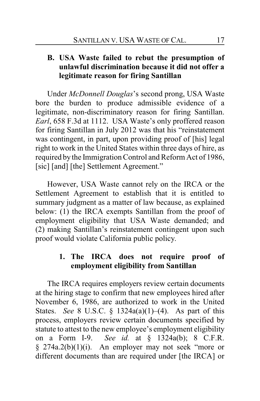### **B. USA Waste failed to rebut the presumption of unlawful discrimination because it did not offer a legitimate reason for firing Santillan**

Under *McDonnell Douglas*'s second prong, USA Waste bore the burden to produce admissible evidence of a legitimate, non-discriminatory reason for firing Santillan. *Earl*, 658 F.3d at 1112. USA Waste's only proffered reason for firing Santillan in July 2012 was that his "reinstatement was contingent, in part, upon providing proof of [his] legal right to work in the United States within three days of hire, as required by the Immigration Control and Reform Act of 1986, [sic] [and] [the] Settlement Agreement."

However, USA Waste cannot rely on the IRCA or the Settlement Agreement to establish that it is entitled to summary judgment as a matter of law because, as explained below: (1) the IRCA exempts Santillan from the proof of employment eligibility that USA Waste demanded; and (2) making Santillan's reinstatement contingent upon such proof would violate California public policy.

### **1. The IRCA does not require proof of employment eligibility from Santillan**

The IRCA requires employers review certain documents at the hiring stage to confirm that new employees hired after November 6, 1986, are authorized to work in the United States. *See* 8 U.S.C. § 1324a(a)(1)–(4). As part of this process, employers review certain documents specified by statute to attest to the new employee's employment eligibility on a Form I-9. *See id.* at § 1324a(b); 8 C.F.R.  $§$  274a.2(b)(1)(i). An employer may not seek "more or different documents than are required under [the IRCA] or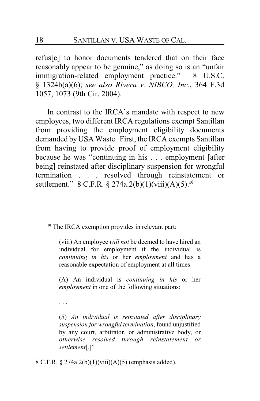refus[e] to honor documents tendered that on their face reasonably appear to be genuine," as doing so is an "unfair immigration-related employment practice." 8 U.S.C. § 1324b(a)(6); *see also Rivera v. NIBCO, Inc.*, 364 F.3d 1057, 1073 (9th Cir. 2004).

In contrast to the IRCA's mandate with respect to new employees, two different IRCA regulations exempt Santillan from providing the employment eligibility documents demanded byUSA Waste. First, the IRCA exempts Santillan from having to provide proof of employment eligibility because he was "continuing in his . . . employment [after being] reinstated after disciplinary suspension for wrongful termination . . . resolved through reinstatement or settlement." 8 C.F.R. § 274a.2(b)(1)(viii)(A)(5).**<sup>10</sup>**

**<sup>10</sup>** The IRCA exemption provides in relevant part:

(viii) An employee *will not* be deemed to have hired an individual for employment if the individual is *continuing in his* or her *employment* and has a reasonable expectation of employment at all times.

(A) An individual is *continuing in his* or her *employment* in one of the following situations:

. . .

(5) *An individual is reinstated after disciplinary suspension for wrongful termination*, found unjustified by any court, arbitrator, or administrative body, or *otherwise resolved through reinstatement or settlement*[.]"

8 C.F.R. § 274a.2(b)(1)(viii)(A)(5) (emphasis added).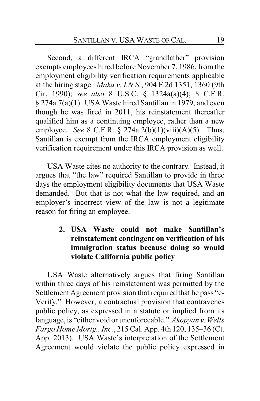Second, a different IRCA "grandfather" provision exempts employees hired before November 7, 1986, from the employment eligibility verification requirements applicable at the hiring stage. *Maka v. I.N.S.*, 904 F.2d 1351, 1360 (9th Cir. 1990); *see also* 8 U.S.C. § 1324a(a)(4); 8 C.F.R. § 274a.7(a)(1). USA Waste hired Santillan in 1979, and even though he was fired in 2011, his reinstatement thereafter qualified him as a continuing employee, rather than a new employee. *See* 8 C.F.R. § 274a.2(b)(1)(viii)(A)(5). Thus, Santillan is exempt from the IRCA employment eligibility verification requirement under this IRCA provision as well.

USA Waste cites no authority to the contrary. Instead, it argues that "the law" required Santillan to provide in three days the employment eligibility documents that USA Waste demanded. But that is not what the law required, and an employer's incorrect view of the law is not a legitimate reason for firing an employee.

> **2. USA Waste could not make Santillan's reinstatement contingent on verification of his immigration status because doing so would violate California public policy**

USA Waste alternatively argues that firing Santillan within three days of his reinstatement was permitted by the Settlement Agreement provision that required that he pass "e-Verify." However, a contractual provision that contravenes public policy, as expressed in a statute or implied from its language, is "either void or unenforceable." *Akopyan v. Wells Fargo Home Mortg., Inc.*, 215 Cal. App. 4th 120, 135–36 (Ct. App. 2013). USA Waste's interpretation of the Settlement Agreement would violate the public policy expressed in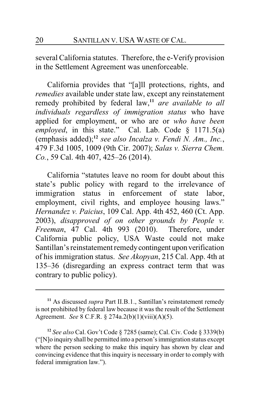several California statutes. Therefore, the e-Verify provision in the Settlement Agreement was unenforceable.

California provides that "[a]ll protections, rights, and *remedies* available under state law, except any reinstatement remedy prohibited by federal law,**<sup>11</sup>** *are available to all individuals regardless of immigration status* who have applied for employment, or who are or *who have been employed*, in this state." Cal. Lab. Code § 1171.5(a) (emphasis added);**<sup>12</sup>** *see also Incalza v. Fendi N. Am., Inc.*, 479 F.3d 1005, 1009 (9th Cir. 2007); *Salas v. Sierra Chem. Co.*, 59 Cal. 4th 407, 425–26 (2014).

California "statutes leave no room for doubt about this state's public policy with regard to the irrelevance of immigration status in enforcement of state labor, employment, civil rights, and employee housing laws." *Hernandez v. Paicius*, 109 Cal. App. 4th 452, 460 (Ct. App. 2003), *disapproved of on other grounds by People v. Freeman*, 47 Cal. 4th 993 (2010). Therefore, under California public policy, USA Waste could not make Santillan's reinstatement remedycontingent upon verification of his immigration status. *See Akopyan*, 215 Cal. App. 4th at 135–36 (disregarding an express contract term that was contrary to public policy).

**<sup>11</sup>** As discussed *supra* Part II.B.1., Santillan's reinstatement remedy is not prohibited by federal law because it was the result of the Settlement Agreement. *See* 8 C.F.R. § 274a.2(b)(1)(viii)(A)(5).

**<sup>12</sup>** *See also* Cal. Gov't Code § 7285 (same); Cal. Civ. Code § 3339(b) ("[N]o inquiry shall be permitted into a person's immigration status except where the person seeking to make this inquiry has shown by clear and convincing evidence that this inquiry is necessary in order to comply with federal immigration law.").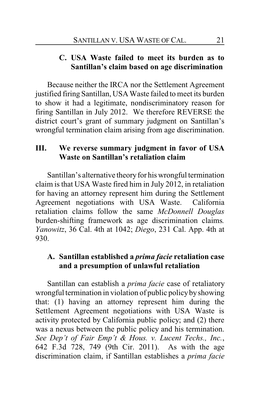### **C. USA Waste failed to meet its burden as to Santillan's claim based on age discrimination**

Because neither the IRCA nor the Settlement Agreement justified firing Santillan, USA Waste failed to meet its burden to show it had a legitimate, nondiscriminatory reason for firing Santillan in July 2012. We therefore REVERSE the district court's grant of summary judgment on Santillan's wrongful termination claim arising from age discrimination.

### **III. We reverse summary judgment in favor of USA Waste on Santillan's retaliation claim**

Santillan's alternative theoryfor his wrongful termination claim is that USA Waste fired him in July 2012, in retaliation for having an attorney represent him during the Settlement Agreement negotiations with USA Waste. California retaliation claims follow the same *McDonnell Douglas* burden-shifting framework as age discrimination claims*. Yanowitz*, 36 Cal. 4th at 1042; *Diego*, 231 Cal. App. 4th at 930.

### **A. Santillan established a** *prima facie* **retaliation case and a presumption of unlawful retaliation**

Santillan can establish a *prima facie* case of retaliatory wrongful termination in violation of public policybyshowing that: (1) having an attorney represent him during the Settlement Agreement negotiations with USA Waste is activity protected by California public policy; and (2) there was a nexus between the public policy and his termination. *See Dep't of Fair Emp't & Hous. v. Lucent Techs., Inc.*, 642 F.3d 728, 749 (9th Cir. 2011). As with the age discrimination claim, if Santillan establishes a *prima facie*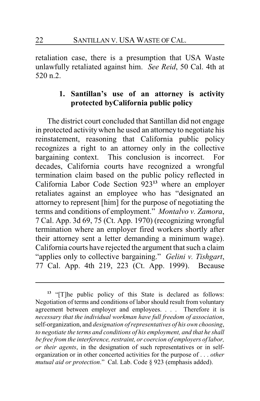retaliation case, there is a presumption that USA Waste unlawfully retaliated against him. *See Reid*, 50 Cal. 4th at  $520 n.2$ 

### **1. Santillan's use of an attorney is activity protected byCalifornia public policy**

The district court concluded that Santillan did not engage in protected activity when he used an attorney to negotiate his reinstatement, reasoning that California public policy recognizes a right to an attorney only in the collective bargaining context. This conclusion is incorrect. For decades, California courts have recognized a wrongful termination claim based on the public policy reflected in California Labor Code Section 923**<sup>13</sup>** where an employer retaliates against an employee who has "designated an attorney to represent [him] for the purpose of negotiating the terms and conditions of employment." *Montalvo v. Zamora*, 7 Cal. App. 3d 69, 75 (Ct. App. 1970) (recognizing wrongful termination where an employer fired workers shortly after their attorney sent a letter demanding a minimum wage). California courts have rejected the argument that such a claim "applies only to collective bargaining." *Gelini v. Tishgart*, 77 Cal. App. 4th 219, 223 (Ct. App. 1999). Because

**<sup>13</sup>** "[T]he public policy of this State is declared as follows: Negotiation of terms and conditions of labor should result from voluntary agreement between employer and employees. . . . Therefore it is *necessary that the individual workman have full freedom of association*, self-organization, and *designation of representatives of his own choosing*, *to negotiate the terms and conditions of his employment, and that he shall be free from the interference, restraint, or coercion of employers of labor, or their agents*, in the designation of such representatives or in selforganization or in other concerted activities for the purpose of . . . *other mutual aid or protection*." Cal. Lab. Code § 923 (emphasis added).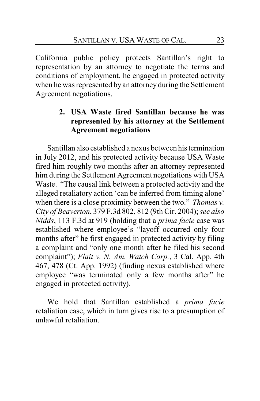California public policy protects Santillan's right to representation by an attorney to negotiate the terms and conditions of employment, he engaged in protected activity when he was represented by an attorney during the Settlement Agreement negotiations.

### **2. USA Waste fired Santillan because he was represented by his attorney at the Settlement Agreement negotiations**

Santillan also established a nexus between his termination in July 2012, and his protected activity because USA Waste fired him roughly two months after an attorney represented him during the Settlement Agreement negotiations with USA Waste. "The causal link between a protected activity and the alleged retaliatory action 'can be inferred from timing alone' when there is a close proximity between the two." *Thomas v. City of Beaverton*, 379 F.3d 802, 812 (9th Cir. 2004); *see also Nidds*, 113 F.3d at 919 (holding that a *prima facie* case was established where employee's "layoff occurred only four months after" he first engaged in protected activity by filing a complaint and "only one month after he filed his second complaint"); *Flait v. N. Am. Watch Corp.*, 3 Cal. App. 4th 467, 478 (Ct. App. 1992) (finding nexus established where employee "was terminated only a few months after" he engaged in protected activity).

We hold that Santillan established a *prima facie* retaliation case, which in turn gives rise to a presumption of unlawful retaliation.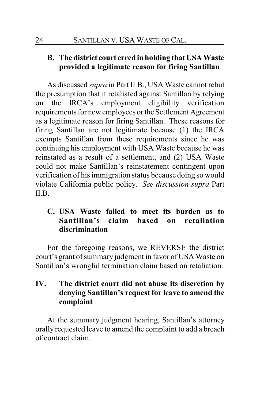## **B. The district court erred in holding that USA Waste provided a legitimate reason for firing Santillan**

As discussed *supra* in Part II.B., USA Waste cannot rebut the presumption that it retaliated against Santillan by relying on the IRCA's employment eligibility verification requirements for new employees or the Settlement Agreement as a legitimate reason for firing Santillan. These reasons for firing Santillan are not legitimate because (1) the IRCA exempts Santillan from these requirements since he was continuing his employment with USA Waste because he was reinstated as a result of a settlement, and (2) USA Waste could not make Santillan's reinstatement contingent upon verification of his immigration status because doing so would violate California public policy. *See discussion supra* Part  $\mathbf{I}$  $\mathbf{I}$  $\mathbf{B}$ 

## **C. USA Waste failed to meet its burden as to Santillan's claim based on retaliation discrimination**

For the foregoing reasons, we REVERSE the district court's grant of summary judgment in favor of USA Waste on Santillan's wrongful termination claim based on retaliation.

### **IV. The district court did not abuse its discretion by denying Santillan's request for leave to amend the complaint**

At the summary judgment hearing, Santillan's attorney orally requested leave to amend the complaint to add a breach of contract claim.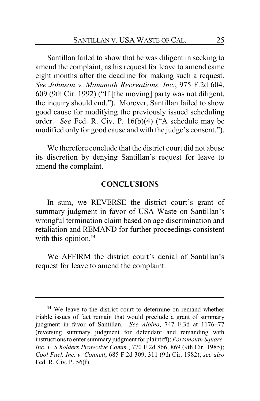Santillan failed to show that he was diligent in seeking to amend the complaint, as his request for leave to amend came eight months after the deadline for making such a request. *See Johnson v. Mammoth Recreations, Inc.*, 975 F.2d 604, 609 (9th Cir. 1992) ("If [the moving] party was not diligent, the inquiry should end."). Morever, Santillan failed to show good cause for modifying the previously issued scheduling order. *See* Fed. R. Civ. P. 16(b)(4) ("A schedule may be modified only for good cause and with the judge's consent.").

We therefore conclude that the district court did not abuse its discretion by denying Santillan's request for leave to amend the complaint.

#### **CONCLUSIONS**

In sum, we REVERSE the district court's grant of summary judgment in favor of USA Waste on Santillan's wrongful termination claim based on age discrimination and retaliation and REMAND for further proceedings consistent with this opinion.<sup>14</sup>

We AFFIRM the district court's denial of Santillan's request for leave to amend the complaint.

**<sup>14</sup>** We leave to the district court to determine on remand whether triable issues of fact remain that would preclude a grant of summary judgment in favor of Santillan. *See Albino*, 747 F.3d at 1176–77 (reversing summary judgment for defendant and remanding with instructions to enter summary judgment for plaintiff); *Portsmouth Square*, *Inc. v. S'holders Protective Comm.*, 770 F.2d 866, 869 (9th Cir. 1985); *Cool Fuel, Inc. v. Connett*, 685 F.2d 309, 311 (9th Cir. 1982); *see also* Fed. R. Civ. P. 56(f).